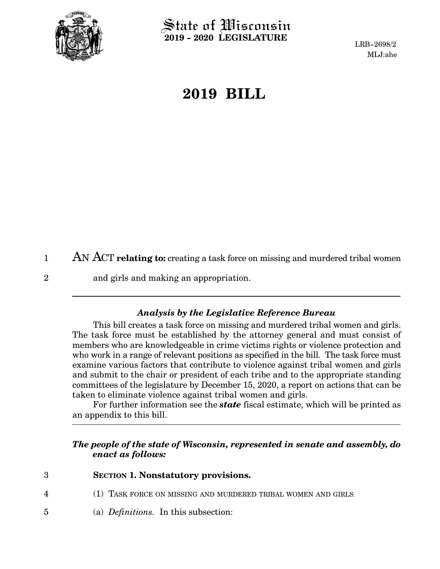

State of Wisconsin **2019 - 2020 LEGISLATURE**

LRB-2698/2 MLJ:ahe

## **2019 BILL**

AN ACT **relating to:** creating a task force on missing and murdered tribal women 1

2

and girls and making an appropriation.

## *Analysis by the Legislative Reference Bureau*

This bill creates a task force on missing and murdered tribal women and girls. The task force must be established by the attorney general and must consist of members who are knowledgeable in crime victims rights or violence protection and who work in a range of relevant positions as specified in the bill. The task force must examine various factors that contribute to violence against tribal women and girls and submit to the chair or president of each tribe and to the appropriate standing committees of the legislature by December 15, 2020, a report on actions that can be taken to eliminate violence against tribal women and girls.

For further information see the *state* fiscal estimate, which will be printed as an appendix to this bill.

## *The people of the state of Wisconsin, represented in senate and assembly, do enact as follows:*

- **SECTION 1. Nonstatutory provisions.** 3
- (1) TASK FORCE ON MISSING AND MURDERED TRIBAL WOMEN AND GIRLS. 4
- (a) *Definitions.* In this subsection: 5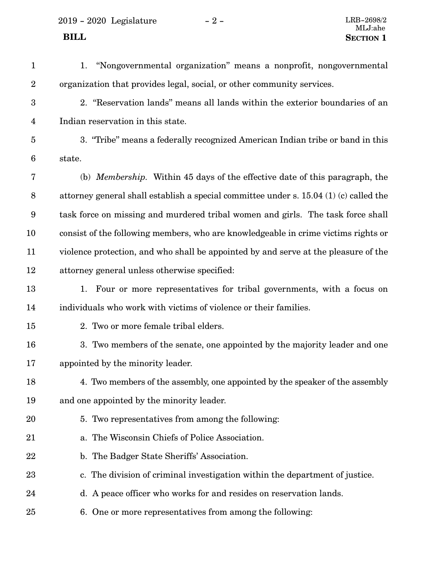2019 - 2020 Legislature - 2 -  $\,$ 

| $\mathbf{1}$            | 1. "Nongovernmental organization" means a nonprofit, nongovernmental                   |
|-------------------------|----------------------------------------------------------------------------------------|
| $\overline{2}$          | organization that provides legal, social, or other community services.                 |
| $\boldsymbol{3}$        | 2. "Reservation lands" means all lands within the exterior boundaries of an            |
| $\overline{\mathbf{4}}$ | Indian reservation in this state.                                                      |
| $\overline{5}$          | 3. "Tribe" means a federally recognized American Indian tribe or band in this          |
| 6                       | state.                                                                                 |
| 7                       | (b) <i>Membership.</i> Within 45 days of the effective date of this paragraph, the     |
| 8                       | attorney general shall establish a special committee under s. 15.04 (1) (c) called the |
| 9                       | task force on missing and murdered tribal women and girls. The task force shall        |
| 10                      | consist of the following members, who are knowledgeable in crime victims rights or     |
| 11                      | violence protection, and who shall be appointed by and serve at the pleasure of the    |
| 12                      | attorney general unless otherwise specified:                                           |
| 13                      | 1. Four or more representatives for tribal governments, with a focus on                |
| 14                      | individuals who work with victims of violence or their families.                       |
| 15                      | 2. Two or more female tribal elders.                                                   |
| 16                      | 3. Two members of the senate, one appointed by the majority leader and one             |
| 17                      | appointed by the minority leader.                                                      |
| 18                      | 4. Two members of the assembly, one appointed by the speaker of the assembly           |
| 19                      | and one appointed by the minority leader.                                              |
| 20                      | 5. Two representatives from among the following:                                       |
| 21                      | a. The Wisconsin Chiefs of Police Association.                                         |
| 22                      | b. The Badger State Sheriffs' Association.                                             |
| 23                      | c. The division of criminal investigation within the department of justice.            |
| 24                      | d. A peace officer who works for and resides on reservation lands.                     |
| 25                      | 6. One or more representatives from among the following:                               |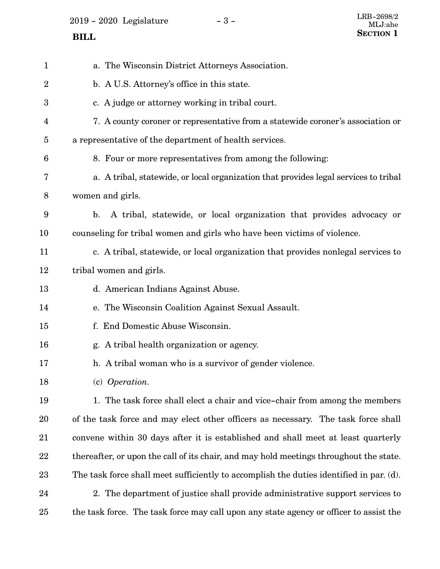2019 - 2020 Legislature - 3 -

| $\mathbf{1}$     | a. The Wisconsin District Attorneys Association.                                        |
|------------------|-----------------------------------------------------------------------------------------|
| $\boldsymbol{2}$ | b. A U.S. Attorney's office in this state.                                              |
| 3                | c. A judge or attorney working in tribal court.                                         |
| 4                | 7. A county coroner or representative from a statewide coroner's association or         |
| $\overline{5}$   | a representative of the department of health services.                                  |
| $6\phantom{1}6$  | 8. Four or more representatives from among the following:                               |
| 7                | a. A tribal, statewide, or local organization that provides legal services to tribal    |
| $8\,$            | women and girls.                                                                        |
| 9                | A tribal, statewide, or local organization that provides advocacy or<br>$\mathbf{b}$ .  |
| 10               | counseling for tribal women and girls who have been victims of violence.                |
| 11               | c. A tribal, statewide, or local organization that provides nonlegal services to        |
| 12               | tribal women and girls.                                                                 |
| 13               | d. American Indians Against Abuse.                                                      |
| 14               | e. The Wisconsin Coalition Against Sexual Assault.                                      |
| 15               | f. End Domestic Abuse Wisconsin.                                                        |
| 16               | g. A tribal health organization or agency.                                              |
| 17               | h. A tribal woman who is a survivor of gender violence.                                 |
| 18               | (c) Operation.                                                                          |
| 19               | 1. The task force shall elect a chair and vice-chair from among the members             |
| 20               | of the task force and may elect other officers as necessary. The task force shall       |
| 21               | convene within 30 days after it is established and shall meet at least quarterly        |
| 22               | thereafter, or upon the call of its chair, and may hold meetings throughout the state.  |
| 23               | The task force shall meet sufficiently to accomplish the duties identified in par. (d). |
| 24               | 2. The department of justice shall provide administrative support services to           |
| 25               | the task force. The task force may call upon any state agency or officer to assist the  |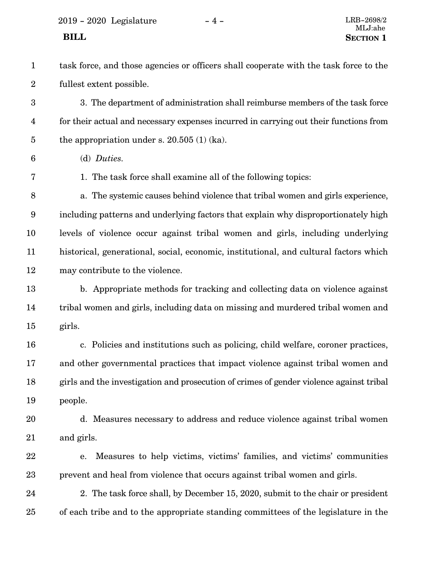<span id="page-3-0"></span>2019 - 2020 Legislature - 4 - LRB-2698/2

task force, and those agencies or officers shall cooperate with the task force to the fullest extent possible. 1 2

3. The department of administration shall reimburse members of the task force for their actual and necessary expenses incurred in carrying out their functions from the appropriation under s. 20.505 (1) (ka). 3 4 5

(d) *Duties.* 6

7

1. The task force shall examine all of the following topics:

a. The systemic causes behind violence that tribal women and girls experience, including patterns and underlying factors that explain why disproportionately high levels of violence occur against tribal women and girls, including underlying historical, generational, social, economic, institutional, and cultural factors which may contribute to the violence. 8 9 10 11 12

b. Appropriate methods for tracking and collecting data on violence against tribal women and girls, including data on missing and murdered tribal women and girls. 13 14 15

c. Policies and institutions such as policing, child welfare, coroner practices, and other governmental practices that impact violence against tribal women and girls and the investigation and prosecution of crimes of gender violence against tribal people. 16 17 18 19

- d. Measures necessary to address and reduce violence against tribal women and girls. 20 21
- e. Measures to help victims, victims' families, and victims' communities prevent and heal from violence that occurs against tribal women and girls. 22 23

2. The task force shall, by December 15, 2020, submit to the chair or president of each tribe and to the appropriate standing committees of the legislature in the 24 25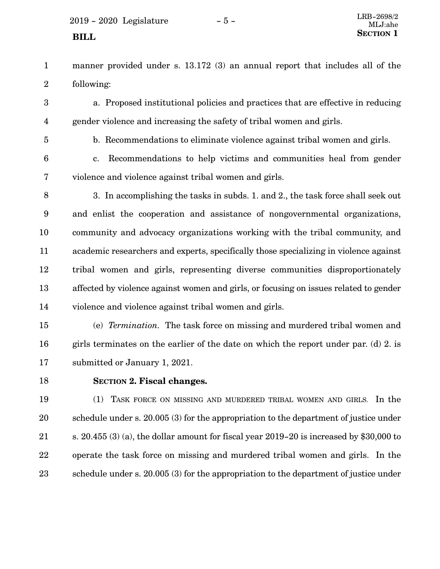- manner provided under s. 13.172 (3) an annual report that includes all of the following: 1 2
- a. Proposed institutional policies and practices that are effective in reducing gender violence and increasing the safety of tribal women and girls. 3 4
- 5

b. Recommendations to eliminate violence against tribal women and girls.

- c. Recommendations to help victims and communities heal from gender violence and violence against tribal women and girls. 6 7
- 3. In accomplishing the tasks in subds. [1.](#page-3-0) and [2](#page-3-0)., the task force shall seek out and enlist the cooperation and assistance of nongovernmental organizations, community and advocacy organizations working with the tribal community, and academic researchers and experts, specifically those specializing in violence against tribal women and girls, representing diverse communities disproportionately affected by violence against women and girls, or focusing on issues related to gender violence and violence against tribal women and girls. 8 9 10 11 12 13 14

(e) *Termination.* The task force on missing and murdered tribal women and girls terminates on the earlier of the date on which the report under par. ([d\)](#page-3-0) [2](#page-3-0). is submitted or January 1, 2021. 15 16 17

18

## **SECTION 2.**0**Fiscal changes.**

(1) TASK FORCE ON MISSING AND MURDERED TRIBAL WOMEN AND GIRLS. In the schedule under s. 20.005 (3) for the appropriation to the department of justice under s. 20.455 (3) (a), the dollar amount for fiscal year 2019-20 is increased by \$30,000 to operate the task force on missing and murdered tribal women and girls. In the schedule under s. 20.005 (3) for the appropriation to the department of justice under 19 20 21 22 23